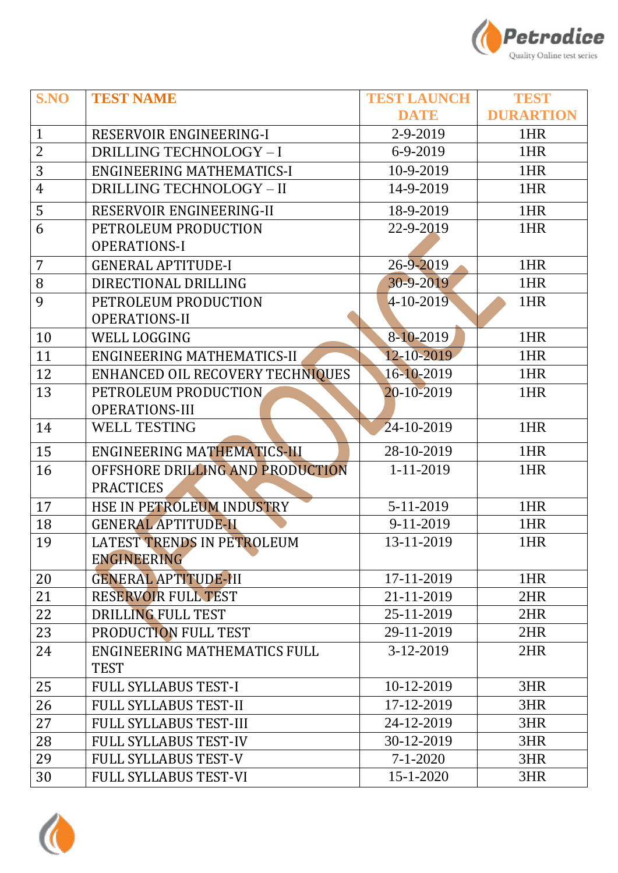

| S.NO           | <b>TEST NAME</b>                 | <b>TEST LAUNCH</b> | <b>TEST</b>      |
|----------------|----------------------------------|--------------------|------------------|
|                |                                  | <b>DATE</b>        | <b>DURARTION</b> |
| $\mathbf{1}$   | RESERVOIR ENGINEERING-I          | 2-9-2019           | 1HR              |
| $\overline{2}$ | <b>DRILLING TECHNOLOGY - I</b>   | $6-9-2019$         | 1HR              |
| 3              | <b>ENGINEERING MATHEMATICS-I</b> | 10-9-2019          | 1HR              |
| $\overline{4}$ | <b>DRILLING TECHNOLOGY - II</b>  | 14-9-2019          | 1HR              |
| 5              | RESERVOIR ENGINEERING-II         | 18-9-2019          | 1HR              |
| 6              | PETROLEUM PRODUCTION             | 22-9-2019          | 1HR              |
|                | <b>OPERATIONS-I</b>              |                    |                  |
| $\overline{7}$ | <b>GENERAL APTITUDE-I</b>        | 26-9-2019          | 1HR              |
| 8              | DIRECTIONAL DRILLING             | 30-9-2019          | 1HR              |
| 9              | PETROLEUM PRODUCTION             | 4-10-2019          | 1HR              |
|                | <b>OPERATIONS-II</b>             |                    |                  |
| 10             | <b>WELL LOGGING</b>              | 8-10-2019          | 1HR              |
| 11             | ENGINEERING MATHEMATICS-II       | 12-10-2019         | 1HR              |
| 12             | ENHANCED OIL RECOVERY TECHNIQUES | 16-10-2019         | 1HR              |
| 13             | PETROLEUM PRODUCTION             | 20-10-2019         | 1HR              |
|                | OPERATIONS-III                   |                    |                  |
| 14             | <b>WELL TESTING</b>              | 24-10-2019         | 1HR              |
| 15             | ENGINEERING MATHEMATICS-III      | 28-10-2019         | 1HR              |
| 16             | OFFSHORE DRILLING AND PRODUCTION | $1 - 11 - 2019$    | 1HR              |
|                | <b>PRACTICES</b>                 |                    |                  |
| 17             | HSE IN PETROLEUM INDUSTRY        | 5-11-2019          | 1HR              |
| 18             | <b>GENERAL APTITUDE-II</b>       | 9-11-2019          | 1HR              |
| 19             | LATEST TRENDS IN PETROLEUM       | 13-11-2019         | 1HR              |
|                | ENGINEERING                      |                    |                  |
| 20             | <b>GENERAL APTITUDE-III</b>      | 17-11-2019         | 1HR              |
| 21             | <b>RESERVOIR FULL TEST</b>       | 21-11-2019         | 2HR              |
| 22             | DRILLING FULL TEST               | 25-11-2019         | 2HR              |
| 23             | PRODUCTION FULL TEST             | 29-11-2019         | 2HR              |
| 24             | ENGINEERING MATHEMATICS FULL     | $3-12-2019$        | 2HR              |
|                | <b>TEST</b>                      |                    |                  |
| 25             | <b>FULL SYLLABUS TEST-I</b>      | 10-12-2019         | 3HR              |
| 26             | <b>FULL SYLLABUS TEST-II</b>     | 17-12-2019         | 3HR              |
| 27             | <b>FULL SYLLABUS TEST-III</b>    | 24-12-2019         | 3HR              |
| 28             | <b>FULL SYLLABUS TEST-IV</b>     | 30-12-2019         | 3HR              |
| 29             | <b>FULL SYLLABUS TEST-V</b>      | $7 - 1 - 2020$     | 3HR              |
| 30             | <b>FULL SYLLABUS TEST-VI</b>     | $15 - 1 - 2020$    | 3HR              |

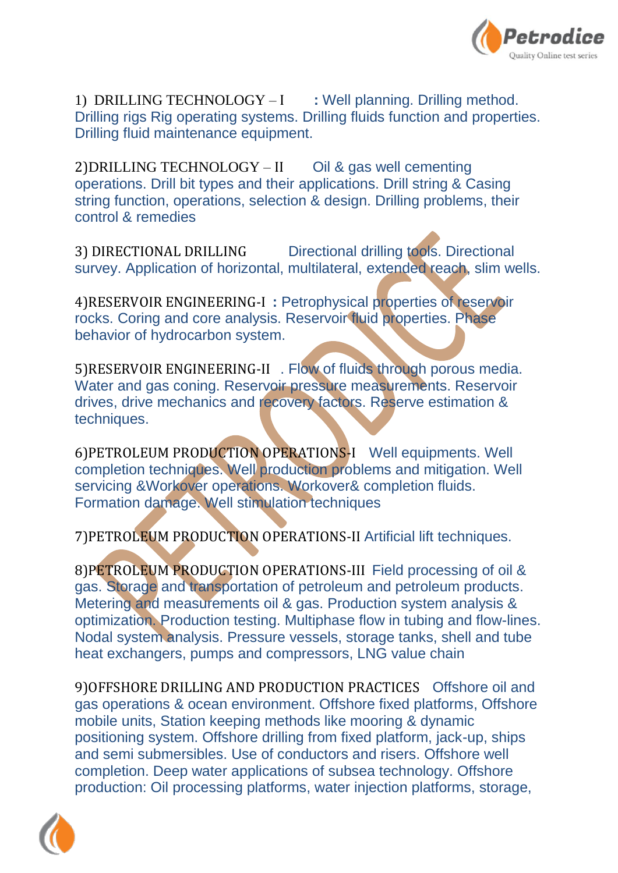

1) DRILLING TECHNOLOGY – I **:** Well planning. Drilling method. Drilling rigs Rig operating systems. Drilling fluids function and properties. Drilling fluid maintenance equipment.

2)DRILLING TECHNOLOGY – II Oil & gas well cementing operations. Drill bit types and their applications. Drill string & Casing string function, operations, selection & design. Drilling problems, their control & remedies

3) DIRECTIONAL DRILLING Directional drilling tools. Directional survey. Application of horizontal, multilateral, extended reach, slim wells.

4)RESERVOIR ENGINEERING-I **:** Petrophysical properties of reservoir rocks. Coring and core analysis. Reservoir fluid properties. Phase behavior of hydrocarbon system.

5)RESERVOIR ENGINEERING-II . Flow of fluids through porous media. Water and gas coning. Reservoir pressure measurements. Reservoir drives, drive mechanics and recovery factors. Reserve estimation & techniques.

6)PETROLEUM PRODUCTION OPERATIONS-I Well equipments. Well completion techniques. Well production problems and mitigation. Well servicing &Workover operations. Workover& completion fluids. Formation damage. Well stimulation techniques

7)PETROLEUM PRODUCTION OPERATIONS-II Artificial lift techniques.

8)PETROLEUM PRODUCTION OPERATIONS-III Field processing of oil & gas. Storage and transportation of petroleum and petroleum products. Metering and measurements oil & gas. Production system analysis & optimization. Production testing. Multiphase flow in tubing and flow-lines. Nodal system analysis. Pressure vessels, storage tanks, shell and tube heat exchangers, pumps and compressors, LNG value chain

9)OFFSHORE DRILLING AND PRODUCTION PRACTICES Offshore oil and gas operations & ocean environment. Offshore fixed platforms, Offshore mobile units, Station keeping methods like mooring & dynamic positioning system. Offshore drilling from fixed platform, jack-up, ships and semi submersibles. Use of conductors and risers. Offshore well completion. Deep water applications of subsea technology. Offshore production: Oil processing platforms, water injection platforms, storage,

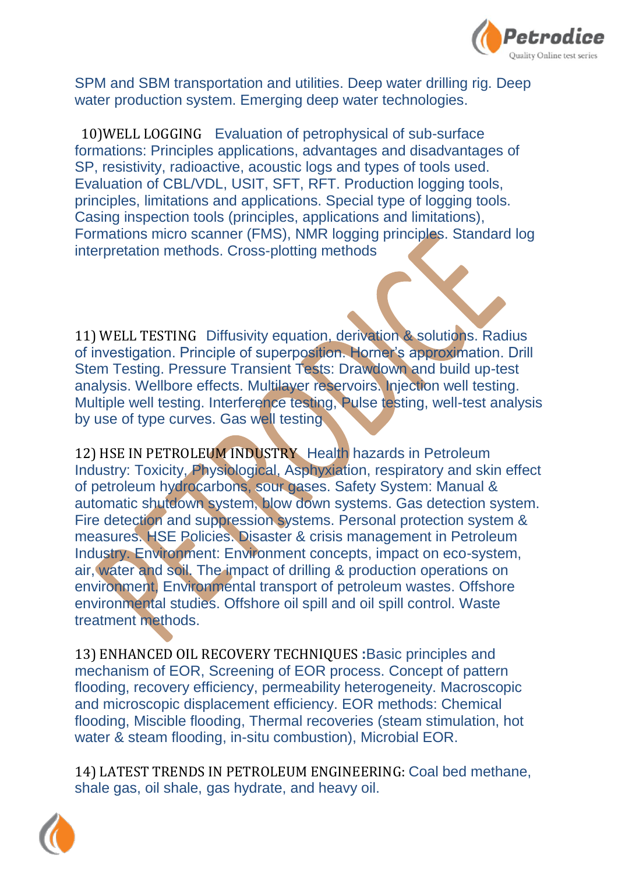

SPM and SBM transportation and utilities. Deep water drilling rig. Deep water production system. Emerging deep water technologies.

 10)WELL LOGGING Evaluation of petrophysical of sub-surface formations: Principles applications, advantages and disadvantages of SP, resistivity, radioactive, acoustic logs and types of tools used. Evaluation of CBL/VDL, USIT, SFT, RFT. Production logging tools, principles, limitations and applications. Special type of logging tools. Casing inspection tools (principles, applications and limitations), Formations micro scanner (FMS), NMR logging principles. Standard log interpretation methods. Cross-plotting methods

11) WELL TESTING Diffusivity equation, derivation & solutions. Radius of investigation. Principle of superposition. Horner's approximation. Drill Stem Testing. Pressure Transient Tests: Drawdown and build up-test analysis. Wellbore effects. Multilayer reservoirs. Injection well testing. Multiple well testing. Interference testing, Pulse testing, well-test analysis by use of type curves. Gas well testing

12) HSE IN PETROLEUM INDUSTRY Health hazards in Petroleum Industry: Toxicity, Physiological, Asphyxiation, respiratory and skin effect of petroleum hydrocarbons, sour gases. Safety System: Manual & automatic shutdown system, blow down systems. Gas detection system. Fire detection and suppression systems. Personal protection system & measures. HSE Policies. Disaster & crisis management in Petroleum Industry. Environment: Environment concepts, impact on eco-system, air, water and soil. The impact of drilling & production operations on environment, Environmental transport of petroleum wastes. Offshore environmental studies. Offshore oil spill and oil spill control. Waste treatment methods.

13) ENHANCED OIL RECOVERY TECHNIQUES **:**Basic principles and mechanism of EOR, Screening of EOR process. Concept of pattern flooding, recovery efficiency, permeability heterogeneity. Macroscopic and microscopic displacement efficiency. EOR methods: Chemical flooding, Miscible flooding, Thermal recoveries (steam stimulation, hot water & steam flooding, in-situ combustion), Microbial EOR.

14) LATEST TRENDS IN PETROLEUM ENGINEERING: Coal bed methane, shale gas, oil shale, gas hydrate, and heavy oil.